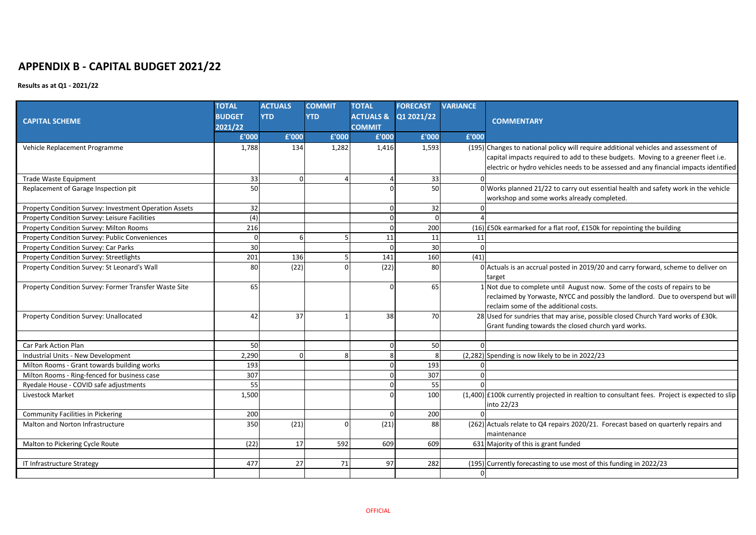## **APPENDIX B - CAPITAL BUDGET 2021/22**

## **Results as at Q1 - 2021/22**

|                                                        | <b>TOTAL</b>  | <b>ACTUALS</b> | <b>COMMIT</b> | <b>TOTAL</b>  | <b>FORECAST</b>                 | <b>VARIANCE</b> |                                                                                                 |
|--------------------------------------------------------|---------------|----------------|---------------|---------------|---------------------------------|-----------------|-------------------------------------------------------------------------------------------------|
| <b>CAPITAL SCHEME</b>                                  | <b>BUDGET</b> | <b>YTD</b>     | <b>YTD</b>    |               | <b>ACTUALS &amp; Q1 2021/22</b> |                 | <b>COMMENTARY</b>                                                                               |
|                                                        | 2021/22       |                |               | <b>COMMIT</b> |                                 |                 |                                                                                                 |
|                                                        | £'000         | £'000          | £'000         | £'000         | £'000                           | £'000           |                                                                                                 |
| Vehicle Replacement Programme                          | 1,788         | 134            | 1,282         | 1,416         | 1,593                           |                 | (195) Changes to national policy will require additional vehicles and assessment of             |
|                                                        |               |                |               |               |                                 |                 | capital impacts required to add to these budgets. Moving to a greener fleet i.e.                |
|                                                        |               |                |               |               |                                 |                 | electric or hydro vehicles needs to be assessed and any financial impacts identified            |
| <b>Trade Waste Equipment</b>                           | 33            |                |               |               | 33                              |                 |                                                                                                 |
| Replacement of Garage Inspection pit                   | 50            |                |               |               | 50                              |                 | $0$ Works planned 21/22 to carry out essential health and safety work in the vehicle            |
|                                                        |               |                |               |               |                                 |                 | workshop and some works already completed.                                                      |
| Property Condition Survey: Investment Operation Assets | 32            |                |               | <sup>0</sup>  | 32                              |                 |                                                                                                 |
| Property Condition Survey: Leisure Facilities          | (4)           |                |               |               |                                 |                 |                                                                                                 |
| Property Condition Survey: Milton Rooms                | 216           |                |               |               | 200                             |                 | (16) E50k earmarked for a flat roof, £150k for repointing the building                          |
| Property Condition Survey: Public Conveniences         |               |                |               | 11            | 11                              | 11              |                                                                                                 |
| Property Condition Survey: Car Parks                   | 30            |                |               | ∩             | 30                              |                 |                                                                                                 |
| Property Condition Survey: Streetlights                | 201           | 136            |               | 141           | 160                             | (41)            |                                                                                                 |
| Property Condition Survey: St Leonard's Wall           | 80            | (22)           |               | (22)          | 80                              |                 | 0 Actuals is an accrual posted in 2019/20 and carry forward, scheme to deliver on               |
|                                                        |               |                |               |               |                                 |                 | target                                                                                          |
| Property Condition Survey: Former Transfer Waste Site  | 65            |                |               |               | 65                              |                 | Not due to complete until August now. Some of the costs of repairs to be                        |
|                                                        |               |                |               |               |                                 |                 | reclaimed by Yorwaste, NYCC and possibly the landlord. Due to overspend but will                |
|                                                        |               |                |               |               |                                 |                 | reclaim some of the additional costs.                                                           |
| Property Condition Survey: Unallocated                 | 42            | 37             |               | 38            | 70                              |                 | 28 Used for sundries that may arise, possible closed Church Yard works of £30k.                 |
|                                                        |               |                |               |               |                                 |                 | Grant funding towards the closed church yard works.                                             |
|                                                        |               |                |               |               |                                 |                 |                                                                                                 |
| Car Park Action Plan                                   | 50            |                |               | <sup>0</sup>  | 50                              |                 |                                                                                                 |
| Industrial Units - New Development                     | 2,290         |                |               |               |                                 |                 | $(2,282)$ Spending is now likely to be in 2022/23                                               |
| Milton Rooms - Grant towards building works            | 193           |                |               |               | 193                             |                 |                                                                                                 |
| Milton Rooms - Ring-fenced for business case           | 307           |                |               |               | 307                             |                 |                                                                                                 |
| Ryedale House - COVID safe adjustments                 | 55            |                |               |               | 55                              |                 |                                                                                                 |
| Livestock Market                                       | 1,500         |                |               |               | 100                             |                 | $(1,400)$ £100k currently projected in realtion to consultant fees. Project is expected to slip |
|                                                        |               |                |               |               |                                 |                 | into 22/23                                                                                      |
| <b>Community Facilities in Pickering</b>               | 200           |                |               | $\Omega$      | 200                             |                 |                                                                                                 |
| Malton and Norton Infrastructure                       | 350           | (21)           |               | (21)          | 88                              |                 | (262) Actuals relate to Q4 repairs 2020/21. Forecast based on quarterly repairs and             |
|                                                        |               |                |               |               |                                 |                 | maintenance                                                                                     |
| Malton to Pickering Cycle Route                        | (22)          | 17             | 592           | 609           | 609                             |                 | 631 Majority of this is grant funded                                                            |
|                                                        |               |                |               |               |                                 |                 |                                                                                                 |
| IT Infrastructure Strategy                             | 477           | 27             | 71            | 97            | 282                             |                 | (195) Currently forecasting to use most of this funding in 2022/23                              |
|                                                        |               |                |               |               |                                 |                 |                                                                                                 |